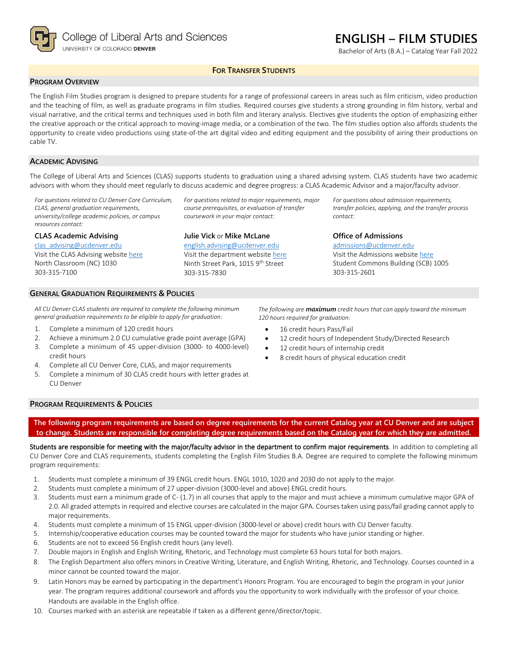

# **ENGLISH – FILM STUDIES**

Bachelor of Arts (B.A.) – Catalog Year Fall 2022

## **FOR TRANSFER STUDENTS**

### **PROGRAM OVERVIEW**

The English Film Studies program is designed to prepare students for a range of professional careers in areas such as film criticism, video production and the teaching of film, as well as graduate programs in film studies. Required courses give students a strong grounding in film history, verbal and visual narrative, and the critical terms and techniques used in both film and literary analysis. Electives give students the option of emphasizing either the creative approach or the critical approach to moving-image media, or a combination of the two. The film studies option also affords students the opportunity to create video productions using state-of-the art digital video and editing equipment and the possibility of airing their productions on cable TV.

#### **ACADEMIC ADVISING**

The College of Liberal Arts and Sciences (CLAS) supports students to graduation using a shared advising system. CLAS students have two academic advisors with whom they should meet regularly to discuss academic and degree progress: a CLAS Academic Advisor and a major/faculty advisor.

> *For questions related to major requirements, major course prerequisites, or evaluation of transfer coursework in your major contact:*

*For questions related to CU Denver Core Curriculum, CLAS, general graduation requirements, university/college academic policies, or campus resources contact:*

#### **CLAS Academic Advising**

303-315-7100

[clas\\_advising@ucdenver.edu](mailto:clas_advising@ucdenver.edu) Visit the CLAS Advising websit[e here](https://clas.ucdenver.edu/advising/) North Classroom (NC) 1030

**Julie Vick** or **Mike McLane**

[english.advising@ucdenver.edu](mailto:english.advising@ucdenver.edu) Visit the department website [here](https://clas.ucdenver.edu/english/english-film-studies) Ninth Street Park, 1015 9<sup>th</sup> Street 303-315-7830

*For questions about admission requirements, transfer policies, applying, and the transfer process contact:*

#### **Office of Admissions**

[admissions@ucdenver.edu](mailto:admissions@ucdenver.edu) Visit the Admissions website [here](http://www.ucdenver.edu/admissions/Pages/index.aspx) Student Commons Building (SCB) 1005 303-315-2601

#### **GENERAL GRADUATION REQUIREMENTS & POLICIES**

*All CU Denver CLAS students are required to complete the following minimum general graduation requirements to be eligible to apply for graduation:*

- 1. Complete a minimum of 120 credit hours
- 2. Achieve a minimum 2.0 CU cumulative grade point average (GPA)
- 3. Complete a minimum of 45 upper-division (3000- to 4000-level) credit hours
- 4. Complete all CU Denver Core, CLAS, and major requirements
- 5. Complete a minimum of 30 CLAS credit hours with letter grades at CU Denver

*The following are maximum credit hours that can apply toward the minimum 120 hours required for graduation:*

- 16 credit hours Pass/Fail
- 12 credit hours of Independent Study/Directed Research
- 12 credit hours of internship credit
- 8 credit hours of physical education credit

#### **PROGRAM REQUIREMENTS & POLICIES**

**The following program requirements are based on degree requirements for the current Catalog year at CU Denver and are subject to change. Students are responsible for completing degree requirements based on the Catalog year for which they are admitted.**

Students are responsible for meeting with the major/faculty advisor in the department to confirm major requirements. In addition to completing all CU Denver Core and CLAS requirements, students completing the English Film Studies B.A. Degree are required to complete the following minimum program requirements:

- 1. Students must complete a minimum of 39 ENGL credit hours. ENGL 1010, 1020 and 2030 do not apply to the major.
- 2. Students must complete a minimum of 27 upper-division (3000-level and above) ENGL credit hours.
- 3. Students must earn a minimum grade of C- (1.7) in all courses that apply to the major and must achieve a minimum cumulative major GPA of 2.0. All graded attempts in required and elective courses are calculated in the major GPA. Courses taken using pass/fail grading cannot apply to major requirements.
- 4. Students must complete a minimum of 15 ENGL upper-division (3000-level or above) credit hours with CU Denver faculty.
- 5. Internship/cooperative education courses may be counted toward the major for students who have junior standing or higher.
- 6. Students are not to exceed 56 English credit hours (any level).
- 7. Double majors in English and English Writing, Rhetoric, and Technology must complete 63 hours total for both majors.
- 8. The English Department also offers minors in Creative Writing, Literature, and English Writing, Rhetoric, and Technology. Courses counted in a minor cannot be counted toward the major.
- 9. Latin Honors may be earned by participating in the department's Honors Program. You are encouraged to begin the program in your junior year. The program requires additional coursework and affords you the opportunity to work individually with the professor of your choice. Handouts are available in the English office.
- 10. Courses marked with an asterisk are repeatable if taken as a different genre/director/topic.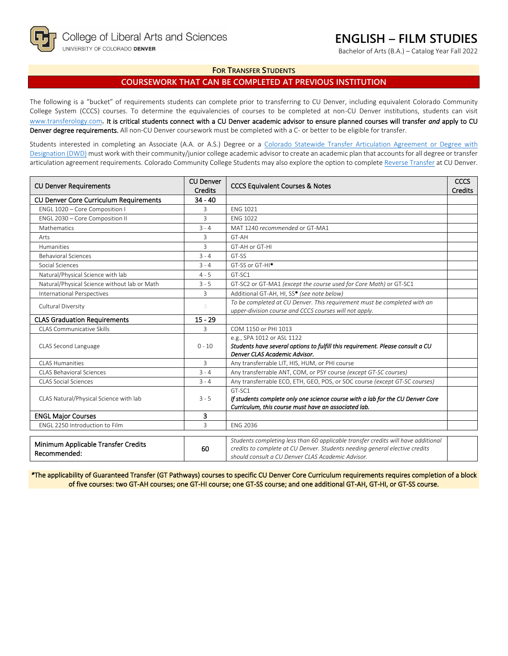# **ENGLISH – FILM STUDIES**

Bachelor of Arts (B.A.) – Catalog Year Fall 2022

### **FOR TRANSFER STUDENTS**

## **COURSEWORK THAT CAN BE COMPLETED AT PREVIOUS INSTITUTION**

The following is a "bucket" of requirements students can complete prior to transferring to CU Denver, including equivalent Colorado Community College System (CCCS) courses. To determine the equivalencies of courses to be completed at non-CU Denver institutions, students can visit [www.transferology.com](http://www.transferology.com/)**.** It is critical students connect with a CU Denver academic advisor to ensure planned courses will transfer *and* apply to CU Denver degree requirements. All non-CU Denver coursework must be completed with a C- or better to be eligible for transfer.

Students interested in completing an Associate (A.A. or A.S.) Degree or a Colorado Statewide Transfer Articulation Agreement or Degree with [Designation \(DWD\)](https://highered.colorado.gov/transfer-degrees) must work with their community/junior college academic advisor to create an academic plan that accounts for all degree or transfer articulation agreement requirements. Colorado Community College Students may also explore the option to complet[e Reverse Transfer](https://highered.colorado.gov/students/attending-college/colorado-reverse-transfer) at CU Denver.

| <b>CU Denver Requirements</b>                       | <b>CU Denver</b><br><b>Credits</b> | <b>CCCS Equivalent Courses &amp; Notes</b>                                                                                                                                                                            | <b>CCCS</b><br><b>Credits</b> |
|-----------------------------------------------------|------------------------------------|-----------------------------------------------------------------------------------------------------------------------------------------------------------------------------------------------------------------------|-------------------------------|
| <b>CU Denver Core Curriculum Requirements</b>       | $34 - 40$                          |                                                                                                                                                                                                                       |                               |
| ENGL 1020 - Core Composition I                      | 3                                  | <b>ENG 1021</b>                                                                                                                                                                                                       |                               |
| ENGL 2030 - Core Composition II                     | 3                                  | <b>FNG 1022</b>                                                                                                                                                                                                       |                               |
| Mathematics                                         | $3 - 4$                            | MAT 1240 recommended or GT-MA1                                                                                                                                                                                        |                               |
| Arts                                                | 3                                  | GT-AH                                                                                                                                                                                                                 |                               |
| Humanities                                          | 3                                  | GT-AH or GT-HI                                                                                                                                                                                                        |                               |
| <b>Behavioral Sciences</b>                          | $3 - 4$                            | GT-SS                                                                                                                                                                                                                 |                               |
| Social Sciences                                     | $3 - 4$                            | GT-SS or GT-HI <sup>*</sup>                                                                                                                                                                                           |                               |
| Natural/Physical Science with lab                   | $4 - 5$                            | GT-SC1                                                                                                                                                                                                                |                               |
| Natural/Physical Science without lab or Math        | $3 - 5$                            | GT-SC2 or GT-MA1 (except the course used for Core Math) or GT-SC1                                                                                                                                                     |                               |
| <b>International Perspectives</b>                   | $\overline{3}$                     | Additional GT-AH, HI, SS* (see note below)                                                                                                                                                                            |                               |
| Cultural Diversity                                  | 3                                  | To be completed at CU Denver. This requirement must be completed with an<br>upper-division course and CCCS courses will not apply.                                                                                    |                               |
| <b>CLAS Graduation Requirements</b>                 | $15 - 29$                          |                                                                                                                                                                                                                       |                               |
| CLAS Communicative Skills                           | 3                                  | COM 1150 or PHI 1013                                                                                                                                                                                                  |                               |
| CLAS Second Language                                | $0 - 10$                           | e.g., SPA 1012 or ASL 1122<br>Students have several options to fulfill this requirement. Please consult a CU<br>Denver CLAS Academic Advisor.                                                                         |                               |
| CLAS Humanities                                     | 3                                  | Any transferrable LIT, HIS, HUM, or PHI course                                                                                                                                                                        |                               |
| <b>CLAS Behavioral Sciences</b>                     | $3 - 4$                            | Any transferrable ANT, COM, or PSY course (except GT-SC courses)                                                                                                                                                      |                               |
| <b>CLAS Social Sciences</b>                         | $3 - 4$                            | Any transferrable ECO, ETH, GEO, POS, or SOC course (except GT-SC courses)                                                                                                                                            |                               |
| CLAS Natural/Physical Science with lab              | $3 - 5$                            | GT-SC1<br>If students complete only one science course with a lab for the CU Denver Core<br>Curriculum, this course must have an associated lab.                                                                      |                               |
| <b>ENGL Major Courses</b>                           | 3                                  |                                                                                                                                                                                                                       |                               |
| FNGL 2250 Introduction to Film                      | 3                                  | <b>ENG 2036</b>                                                                                                                                                                                                       |                               |
| Minimum Applicable Transfer Credits<br>Recommended: | 60                                 | Students completing less than 60 applicable transfer credits will have additional<br>credits to complete at CU Denver. Students needing general elective credits<br>should consult a CU Denver CLAS Academic Advisor. |                               |

*\**The applicability of Guaranteed Transfer (GT Pathways) courses to specific CU Denver Core Curriculum requirements requires completion of a block of five courses: two GT-AH courses; one GT-HI course; one GT-SS course; and one additional GT-AH, GT-HI, or GT-SS course.